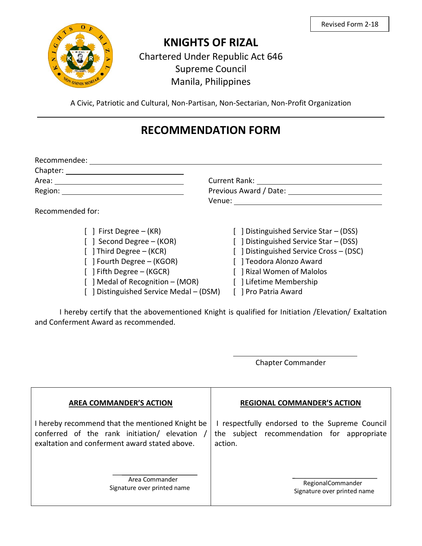

## **KNIGHTS OF RIZAL**

Chartered Under Republic Act 646 Supreme Council Manila, Philippines

A Civic, Patriotic and Cultural, Non-Partisan, Non-Sectarian, Non-Profit Organization

## **RECOMMENDATION FORM**

| Recommendee:                                                                                                                                                                                                                  |                                         |  |
|-------------------------------------------------------------------------------------------------------------------------------------------------------------------------------------------------------------------------------|-----------------------------------------|--|
| Chapter: ______                                                                                                                                                                                                               |                                         |  |
| Area: Area: Area: Area: Area: Area: Area: Area: Area: Area: Area: Area: Area: Area: Area: Area: Area: Area: Area: Area: Area: Area: Area: Area: Area: Area: Area: Area: Area: Area: Area: Area: Area: Area: Area: Area: Area: | <b>Current Rank:</b>                    |  |
| Region:                                                                                                                                                                                                                       | Previous Award / Date:                  |  |
|                                                                                                                                                                                                                               | Venue:                                  |  |
| Recommended for:                                                                                                                                                                                                              |                                         |  |
| $\lceil \ \rceil$ First Degree – (KR)                                                                                                                                                                                         | [ ] Distinguished Service Star – (DSS)  |  |
| [ ] Second Degree – (KOR)                                                                                                                                                                                                     | [ ] Distinguished Service Star - (DSS)  |  |
| $\lceil$ Third Degree – (KCR)                                                                                                                                                                                                 | [ ] Distinguished Service Cross - (DSC) |  |
| [ ] Fourth Degree – (KGOR)                                                                                                                                                                                                    | [ ] Teodora Alonzo Award                |  |
| $\lceil$   Fifth Degree – (KGCR)                                                                                                                                                                                              | Rizal Women of Malolos                  |  |
| $\lceil$   Medal of Recognition – (MOR)                                                                                                                                                                                       | [ ] Lifetime Membership                 |  |

[ ] Distinguished Service Medal – (DSM) [ ] Pro Patria Award

I hereby certify that the abovementioned Knight is qualified for Initiation /Elevation/ Exaltation and Conferment Award as recommended.

Chapter Commander

| <b>AREA COMMANDER'S ACTION</b>                  | <b>REGIONAL COMMANDER'S ACTION</b>             |
|-------------------------------------------------|------------------------------------------------|
| I hereby recommend that the mentioned Knight be | I respectfully endorsed to the Supreme Council |
| conferred of the rank initiation/ elevation     | the subject recommendation for appropriate     |
| exaltation and conferment award stated above.   | action.                                        |
| Area Commander                                  | RegionalCommander                              |
| Signature over printed name                     | Signature over printed name                    |